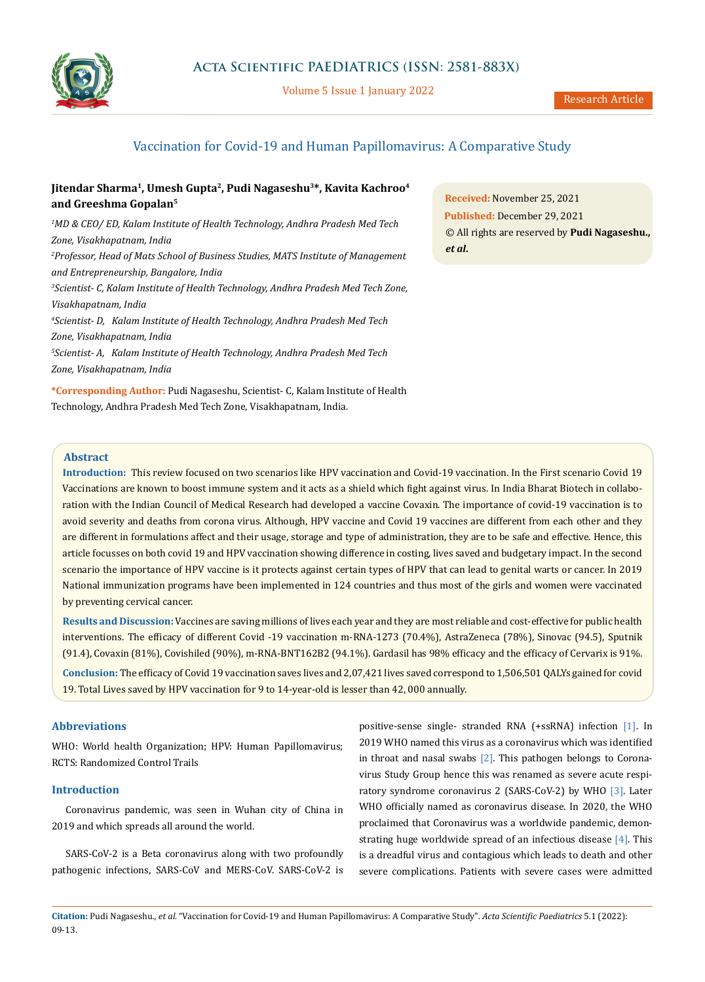

Volume 5 Issue 1 January 2022

# Vaccination for Covid-19 and Human Papillomavirus: A Comparative Study

# **Jitendar Sharma1, Umesh Gupta2, Pudi Nagaseshu3\*, Kavita Kachroo4 and Greeshma Gopalan5**

*1 MD & CEO/ ED, Kalam Institute of Health Technology, Andhra Pradesh Med Tech Zone, Visakhapatnam, India 2 Professor, Head of Mats School of Business Studies, MATS Institute of Management and Entrepreneurship, Bangalore, India 3 Scientist- C, Kalam Institute of Health Technology, Andhra Pradesh Med Tech Zone, Visakhapatnam, India 4 Scientist- D, Kalam Institute of Health Technology, Andhra Pradesh Med Tech Zone, Visakhapatnam, India 5 Scientist- A, Kalam Institute of Health Technology, Andhra Pradesh Med Tech Zone, Visakhapatnam, India*

**\*Corresponding Author:** Pudi Nagaseshu, Scientist- C, Kalam Institute of Health Technology, Andhra Pradesh Med Tech Zone, Visakhapatnam, India.

**Received:** November 25, 2021 **Published:** December 29, 2021 © All rights are reserved by **Pudi Nagaseshu.,**  *et al***.**

# **Abstract**

**Introduction:** This review focused on two scenarios like HPV vaccination and Covid-19 vaccination. In the First scenario Covid 19 Vaccinations are known to boost immune system and it acts as a shield which fight against virus. In India Bharat Biotech in collaboration with the Indian Council of Medical Research had developed a vaccine Covaxin. The importance of covid-19 vaccination is to avoid severity and deaths from corona virus. Although, HPV vaccine and Covid 19 vaccines are different from each other and they are different in formulations affect and their usage, storage and type of administration, they are to be safe and effective. Hence, this article focusses on both covid 19 and HPV vaccination showing difference in costing, lives saved and budgetary impact. In the second scenario the importance of HPV vaccine is it protects against certain types of HPV that can lead to genital warts or cancer. In 2019 National immunization programs have been implemented in 124 countries and thus most of the girls and women were vaccinated by preventing cervical cancer.

**Results and Discussion:** Vaccines are saving millions of lives each year and they are most reliable and cost-effective for public health interventions. The efficacy of different Covid -19 vaccination m-RNA-1273 (70.4%), AstraZeneca (78%), Sinovac (94.5), Sputnik (91.4), Covaxin (81%), Covishiled (90%), m-RNA-BNT162B2 (94.1%). Gardasil has 98% efficacy and the efficacy of Cervarix is 91%.

**Conclusion:** The efficacy of Covid 19 vaccination saves lives and 2,07,421 lives saved correspond to 1,506,501 QALYs gained for covid 19. Total Lives saved by HPV vaccination for 9 to 14-year-old is lesser than 42, 000 annually.

# **Abbreviations**

WHO: World health Organization; HPV: Human Papillomavirus; RCTS: Randomized Control Trails

# **Introduction**

Coronavirus pandemic, was seen in Wuhan city of China in 2019 and which spreads all around the world.

SARS-CoV-2 is a Beta coronavirus along with two profoundly pathogenic infections, SARS-CoV and MERS-CoV. SARS-CoV-2 is positive-sense single- stranded RNA (+ssRNA) infection [1]. In 2019 WHO named this virus as a coronavirus which was identified in throat and nasal swabs  $[2]$ . This pathogen belongs to Coronavirus Study Group hence this was renamed as severe acute respiratory syndrome coronavirus 2 (SARS-CoV-2) by WHO [3]. Later WHO officially named as coronavirus disease. In 2020, the WHO proclaimed that Coronavirus was a worldwide pandemic, demonstrating huge worldwide spread of an infectious disease  $[4]$ . This is a dreadful virus and contagious which leads to death and other severe complications. Patients with severe cases were admitted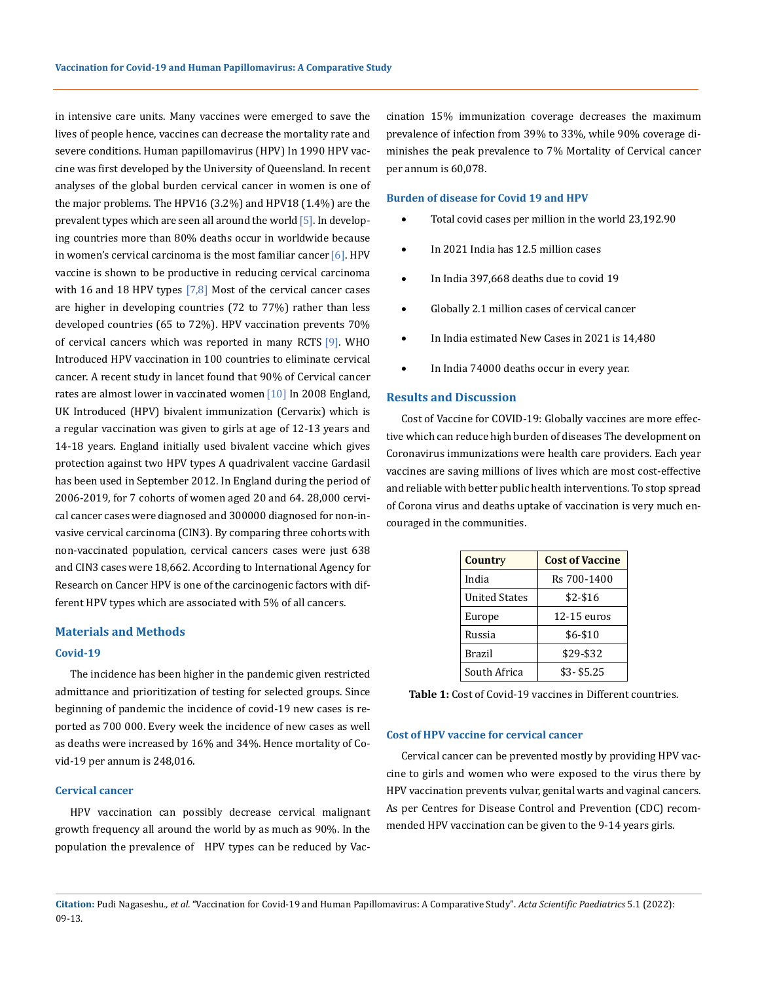in intensive care units. Many vaccines were emerged to save the lives of people hence, vaccines can decrease the mortality rate and severe conditions. Human papillomavirus (HPV) In 1990 HPV vaccine was first developed by the University of Queensland. In recent analyses of the global burden cervical cancer in women is one of the major problems. The HPV16 (3.2%) and HPV18 (1.4%) are the prevalent types which are seen all around the world [5]. In developing countries more than 80% deaths occur in worldwide because in women's cervical carcinoma is the most familiar cancer  $[6]$ . HPV vaccine is shown to be productive in reducing cervical carcinoma with 16 and 18 HPV types  $[7,8]$  Most of the cervical cancer cases are higher in developing countries (72 to 77%) rather than less developed countries (65 to 72%). HPV vaccination prevents 70% of cervical cancers which was reported in many RCTS [9]. WHO Introduced HPV vaccination in 100 countries to eliminate cervical cancer. A recent study in lancet found that 90% of Cervical cancer rates are almost lower in vaccinated women<sup>[10]</sup> In 2008 England, UK Introduced (HPV) bivalent immunization (Cervarix) which is a regular vaccination was given to girls at age of 12-13 years and 14-18 years. England initially used bivalent vaccine which gives protection against two HPV types A quadrivalent vaccine Gardasil has been used in September 2012. In England during the period of 2006-2019, for 7 cohorts of women aged 20 and 64. 28,000 cervical cancer cases were diagnosed and 300000 diagnosed for non-invasive cervical carcinoma (CIN3). By comparing three cohorts with non-vaccinated population, cervical cancers cases were just 638 and CIN3 cases were 18,662. According to International Agency for Research on Cancer HPV is one of the carcinogenic factors with different HPV types which are associated with 5% of all cancers.

#### **Materials and Methods**

#### **Covid-19**

The incidence has been higher in the pandemic given restricted admittance and prioritization of testing for selected groups. Since beginning of pandemic the incidence of covid-19 new cases is reported as 700 000. Every week the incidence of new cases as well as deaths were increased by 16% and 34%. Hence mortality of Covid-19 per annum is 248,016.

### **Cervical cancer**

HPV vaccination can possibly decrease cervical malignant growth frequency all around the world by as much as 90%. In the population the prevalence of HPV types can be reduced by Vaccination 15% immunization coverage decreases the maximum prevalence of infection from 39% to 33%, while 90% coverage diminishes the peak prevalence to 7% Mortality of Cervical cancer per annum is 60,078.

## **Burden of disease for Covid 19 and HPV**

- Total covid cases per million in the world 23,192.90
- In 2021 India has 12.5 million cases
- In India 397,668 deaths due to covid 19
- Globally 2.1 million cases of cervical cancer
- In India estimated New Cases in 2021 is 14,480
- In India 74000 deaths occur in every year.

#### **Results and Discussion**

Cost of Vaccine for COVID-19: Globally vaccines are more effective which can reduce high burden of diseases The development on Coronavirus immunizations were health care providers. Each year vaccines are saving millions of lives which are most cost-effective and reliable with better public health interventions. To stop spread of Corona virus and deaths uptake of vaccination is very much encouraged in the communities.

| Country              | <b>Cost of Vaccine</b> |
|----------------------|------------------------|
| India                | Rs 700-1400            |
| <b>United States</b> | $$2-$16$               |
| Europe               | $12-15$ euros          |
| Russia               | $$6 - $10$             |
| Brazil               | \$29-\$32              |
| South Africa         | $$3 - $5.25$           |

**Table 1:** Cost of Covid-19 vaccines in Different countries.

#### **Cost of HPV vaccine for cervical cancer**

Cervical cancer can be prevented mostly by providing HPV vaccine to girls and women who were exposed to the virus there by HPV vaccination prevents vulvar, genital warts and vaginal cancers. As per Centres for Disease Control and Prevention (CDC) recommended HPV vaccination can be given to the 9-14 years girls.

**Citation:** Pudi Nagaseshu*., et al.* "Vaccination for Covid-19 and Human Papillomavirus: A Comparative Study". *Acta Scientific Paediatrics* 5.1 (2022): 09-13.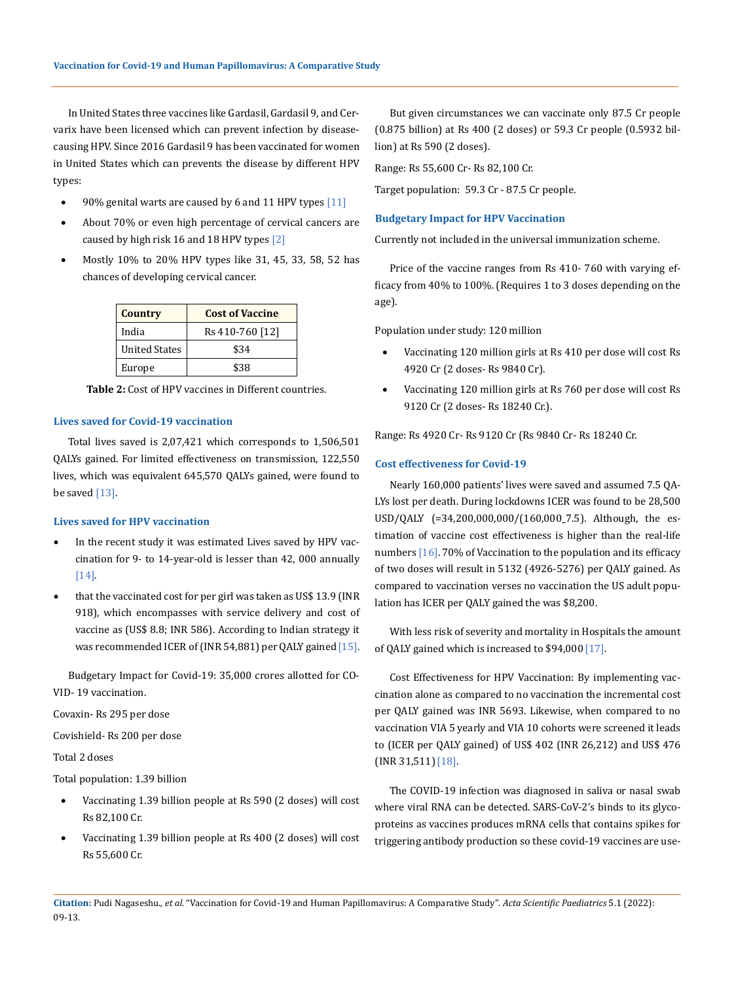In United States three vaccines like Gardasil, Gardasil 9, and Cervarix have been licensed which can prevent infection by diseasecausing HPV. Since 2016 Gardasil 9 has been vaccinated for women in United States which can prevents the disease by different HPV types:

- $90\%$  genital warts are caused by 6 and 11 HPV types  $[11]$
- About 70% or even high percentage of cervical cancers are caused by high risk 16 and 18 HPV types [2]
- Mostly 10% to 20% HPV types like 31, 45, 33, 58, 52 has chances of developing cervical cancer.

| <b>Country</b>       | <b>Cost of Vaccine</b> |
|----------------------|------------------------|
| India                | Rs 410-760 [12]        |
| <b>United States</b> | \$34                   |
| Europe               | \$38                   |

**Table 2:** Cost of HPV vaccines in Different countries.

#### **Lives saved for Covid-19 vaccination**

Total lives saved is 2,07,421 which corresponds to 1,506,501 QALYs gained. For limited effectiveness on transmission, 122,550 lives, which was equivalent 645,570 QALYs gained, were found to be saved  $[13]$ .

#### **Lives saved for HPV vaccination**

- In the recent study it was estimated Lives saved by HPV vaccination for 9- to 14-year-old is lesser than 42, 000 annually [14].
- that the vaccinated cost for per girl was taken as US\$ 13.9 (INR 918), which encompasses with service delivery and cost of vaccine as (US\$ 8.8; INR 586). According to Indian strategy it was recommended ICER of (INR 54,881) per QALY gained [15].

Budgetary Impact for Covid-19: 35,000 crores allotted for CO-VID- 19 vaccination.

Covaxin- Rs 295 per dose

Covishield- Rs 200 per dose

Total 2 doses

Total population: 1.39 billion

- Vaccinating 1.39 billion people at Rs 590 (2 doses) will cost Rs 82,100 Cr.
- Vaccinating 1.39 billion people at Rs 400 (2 doses) will cost Rs 55,600 Cr.

But given circumstances we can vaccinate only 87.5 Cr people (0.875 billion) at Rs 400 (2 doses) or 59.3 Cr people (0.5932 billion) at Rs 590 (2 doses).

Range: Rs 55,600 Cr- Rs 82,100 Cr.

Target population: 59.3 Cr - 87.5 Cr people.

#### **Budgetary Impact for HPV Vaccination**

Currently not included in the universal immunization scheme.

Price of the vaccine ranges from Rs 410- 760 with varying efficacy from 40% to 100%. (Requires 1 to 3 doses depending on the age).

Population under study: 120 million

- Vaccinating 120 million girls at Rs 410 per dose will cost Rs 4920 Cr (2 doses- Rs 9840 Cr).
- Vaccinating 120 million girls at Rs 760 per dose will cost Rs 9120 Cr (2 doses- Rs 18240 Cr.).

Range: Rs 4920 Cr- Rs 9120 Cr (Rs 9840 Cr- Rs 18240 Cr.

#### **Cost effectiveness for Covid-19**

Nearly 160,000 patients' lives were saved and assumed 7.5 QA-LYs lost per death. During lockdowns ICER was found to be 28,500 USD/QALY (=34,200,000,000/(160,000\_7.5). Although, the estimation of vaccine cost effectiveness is higher than the real-life numbers [16]. 70% of Vaccination to the population and its efficacy of two doses will result in 5132 (4926-5276) per QALY gained. As compared to vaccination verses no vaccination the US adult population has ICER per QALY gained the was \$8,200.

With less risk of severity and mortality in Hospitals the amount of QALY gained which is increased to \$94,000[17].

Cost Effectiveness for HPV Vaccination: By implementing vaccination alone as compared to no vaccination the incremental cost per QALY gained was INR 5693. Likewise, when compared to no vaccination VIA 5 yearly and VIA 10 cohorts were screened it leads to (ICER per QALY gained) of US\$ 402 (INR 26,212) and US\$ 476 (INR 31,511)[18].

The COVID-19 infection was diagnosed in saliva or nasal swab where viral RNA can be detected. SARS-CoV-2's binds to its glycoproteins as vaccines produces mRNA cells that contains spikes for triggering antibody production so these covid-19 vaccines are use-

**Citation:** Pudi Nagaseshu*., et al.* "Vaccination for Covid-19 and Human Papillomavirus: A Comparative Study". *Acta Scientific Paediatrics* 5.1 (2022): 09-13.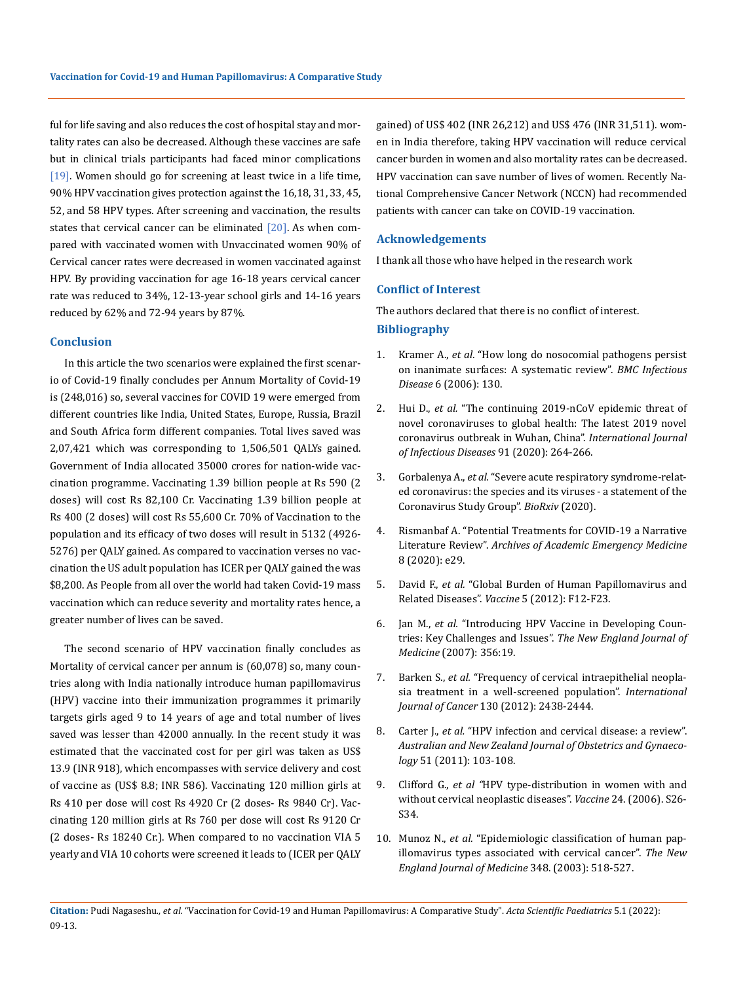ful for life saving and also reduces the cost of hospital stay and mortality rates can also be decreased. Although these vaccines are safe but in clinical trials participants had faced minor complications [19]. Women should go for screening at least twice in a life time, 90% HPV vaccination gives protection against the 16,18, 31, 33, 45, 52, and 58 HPV types. After screening and vaccination, the results states that cervical cancer can be eliminated [20]. As when compared with vaccinated women with Unvaccinated women 90% of Cervical cancer rates were decreased in women vaccinated against HPV. By providing vaccination for age 16-18 years cervical cancer rate was reduced to 34%, 12-13-year school girls and 14-16 years reduced by 62% and 72-94 years by 87%.

#### **Conclusion**

In this article the two scenarios were explained the first scenario of Covid-19 finally concludes per Annum Mortality of Covid-19 is (248,016) so, several vaccines for COVID 19 were emerged from different countries like India, United States, Europe, Russia, Brazil and South Africa form different companies. Total lives saved was 2,07,421 which was corresponding to 1,506,501 QALYs gained. Government of India allocated 35000 crores for nation-wide vaccination programme. Vaccinating 1.39 billion people at Rs 590 (2 doses) will cost Rs 82,100 Cr. Vaccinating 1.39 billion people at Rs 400 (2 doses) will cost Rs 55,600 Cr. 70% of Vaccination to the population and its efficacy of two doses will result in 5132 (4926- 5276) per QALY gained. As compared to vaccination verses no vaccination the US adult population has ICER per QALY gained the was \$8,200. As People from all over the world had taken Covid-19 mass vaccination which can reduce severity and mortality rates hence, a greater number of lives can be saved.

The second scenario of HPV vaccination finally concludes as Mortality of cervical cancer per annum is (60,078) so, many countries along with India nationally introduce human papillomavirus (HPV) vaccine into their immunization programmes it primarily targets girls aged 9 to 14 years of age and total number of lives saved was lesser than 42000 annually. In the recent study it was estimated that the vaccinated cost for per girl was taken as US\$ 13.9 (INR 918), which encompasses with service delivery and cost of vaccine as (US\$ 8.8; INR 586). Vaccinating 120 million girls at Rs 410 per dose will cost Rs 4920 Cr (2 doses- Rs 9840 Cr). Vaccinating 120 million girls at Rs 760 per dose will cost Rs 9120 Cr (2 doses- Rs 18240 Cr.). When compared to no vaccination VIA 5 yearly and VIA 10 cohorts were screened it leads to (ICER per QALY

gained) of US\$ 402 (INR 26,212) and US\$ 476 (INR 31,511). women in India therefore, taking HPV vaccination will reduce cervical cancer burden in women and also mortality rates can be decreased. HPV vaccination can save number of lives of women. Recently National Comprehensive Cancer Network (NCCN) had recommended patients with cancer can take on COVID-19 vaccination.

### **Acknowledgements**

I thank all those who have helped in the research work

### **Conflict of Interest**

The authors declared that there is no conflict of interest. **Bibliography**

- 1. Kramer A., *et al*[. "How long do nosocomial pathogens persist](https://bmcinfectdis.biomedcentral.com/articles/10.1186/1471-2334-6-130) [on inanimate surfaces: A systematic review".](https://bmcinfectdis.biomedcentral.com/articles/10.1186/1471-2334-6-130) *BMC Infectious Disease* [6 \(2006\): 130.](https://bmcinfectdis.biomedcentral.com/articles/10.1186/1471-2334-6-130)
- 2. Hui D., *et al.* "The continuing 2019-nCoV epidemic threat of novel coronaviruses to global health: The latest 2019 novel coronavirus outbreak in Wuhan, China". *International Journal of Infectious Diseases* 91 (2020): 264-266.
- 3. Gorbalenya A., *et al.* ["Severe acute respiratory syndrome-relat](https://www.biorxiv.org/content/10.1101/2020.02.07.937862v1)[ed coronavirus: the species and its viruses - a statement of the](https://www.biorxiv.org/content/10.1101/2020.02.07.937862v1)  [Coronavirus Study Group".](https://www.biorxiv.org/content/10.1101/2020.02.07.937862v1) *BioRxiv* (2020).
- 4. [Rismanbaf A. "Potential Treatments for COVID-19 a Narrative](https://www.ncbi.nlm.nih.gov/pmc/articles/PMC7085862/) Literature Review". *[Archives of Academic Emergency Medicine](https://www.ncbi.nlm.nih.gov/pmc/articles/PMC7085862/)*  [8 \(2020\): e29.](https://www.ncbi.nlm.nih.gov/pmc/articles/PMC7085862/)
- 5. David F., *et al.* ["Global Burden of Human Papillomavirus and](https://pubmed.ncbi.nlm.nih.gov/23199955/)  Related Diseases". *Vaccine* [5 \(2012\): F12-F23.](https://pubmed.ncbi.nlm.nih.gov/23199955/)
- 6. Jan M., *et al.* ["Introducing HPV Vaccine in Developing Coun](https://pubmed.ncbi.nlm.nih.gov/17494923/)[tries: Key Challenges and Issues".](https://pubmed.ncbi.nlm.nih.gov/17494923/) *The New England Journal of Medicine* [\(2007\): 356:19.](https://pubmed.ncbi.nlm.nih.gov/17494923/)
- 7. Barken S., *et al.* ["Frequency of cervical intraepithelial neopla](https://onlinelibrary.wiley.com/doi/pdf/10.1002/ijc.26248)[sia treatment in a well-screened population".](https://onlinelibrary.wiley.com/doi/pdf/10.1002/ijc.26248) *International Journal of Cancer* [130 \(2012\): 2438-2444.](https://onlinelibrary.wiley.com/doi/pdf/10.1002/ijc.26248)
- 8. Carter J., *et al.* ["HPV infection and cervical disease: a review".](https://pubmed.ncbi.nlm.nih.gov/21466509/) *[Australian and New Zealand Journal of Obstetrics and Gynaeco](https://pubmed.ncbi.nlm.nih.gov/21466509/)logy* [51 \(2011\): 103-108.](https://pubmed.ncbi.nlm.nih.gov/21466509/)
- 9. Clifford G., *et al "*[HPV type-distribution in women with and](https://pubmed.ncbi.nlm.nih.gov/16950015/)  [without cervical neoplastic diseases".](https://pubmed.ncbi.nlm.nih.gov/16950015/) *Vaccine* 24. (2006). S26- [S34.](https://pubmed.ncbi.nlm.nih.gov/16950015/)
- 10. Munoz N., *et al.* ["Epidemiologic classification of human pap](https://pubmed.ncbi.nlm.nih.gov/12571259/)[illomavirus types associated with cervical cancer".](https://pubmed.ncbi.nlm.nih.gov/12571259/) *The New [England Journal of Medicine](https://pubmed.ncbi.nlm.nih.gov/12571259/)* 348. (2003): 518-527.